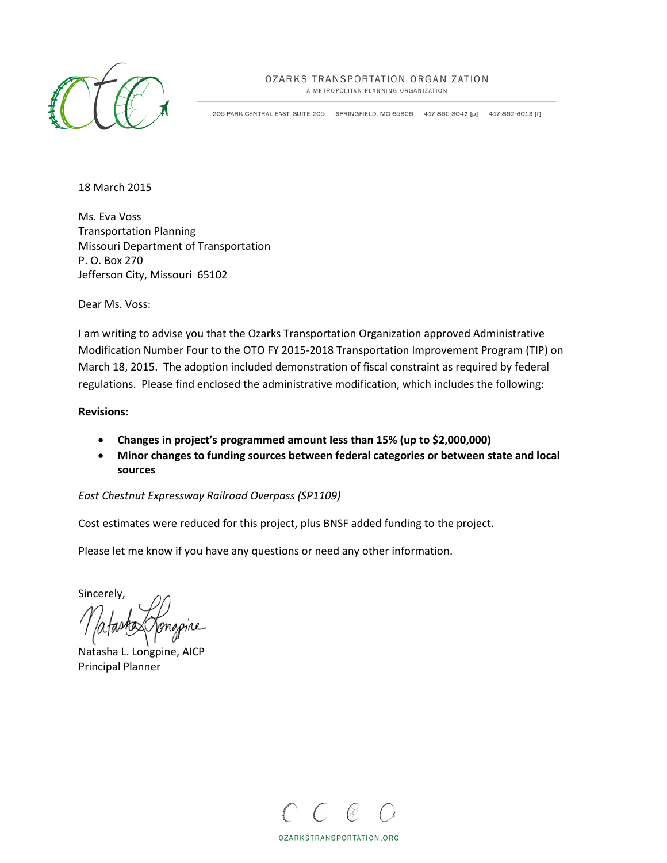

# OZARKS TRANSPORTATION ORGANIZATION

A METROPOLITAN PLANNING ORGANIZATION

205 PARK CENTRAL EAST, SUITE 205 SPRINGFIELD, MO 65806 417-865-3042 [p] 417-862-6013 [f]

18 March 2015

Ms. Eva Voss Transportation Planning Missouri Department of Transportation P. O. Box 270 Jefferson City, Missouri 65102

Dear Ms. Voss:

I am writing to advise you that the Ozarks Transportation Organization approved Administrative Modification Number Four to the OTO FY 2015-2018 Transportation Improvement Program (TIP) on March 18, 2015. The adoption included demonstration of fiscal constraint as required by federal regulations. Please find enclosed the administrative modification, which includes the following:

# **Revisions:**

- **Changes in project's programmed amount less than 15% (up to \$2,000,000)**
- **Minor changes to funding sources between federal categories or between state and local sources**

# *East Chestnut Expressway Railroad Overpass (SP1109)*

Cost estimates were reduced for this project, plus BNSF added funding to the project.

Please let me know if you have any questions or need any other information.

Sincerely,

Natasha L. Longpine, AICP Principal Planner



OZARKSTRANSPORTATION.ORG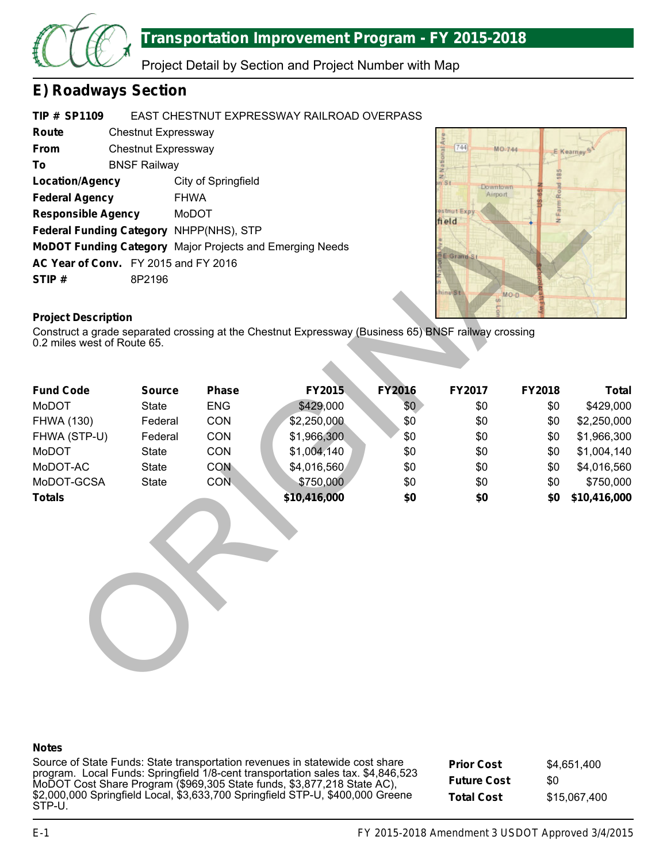

# **Transportation Improvement Program - FY 2015-2018**

Project Detail by Section and Project Number with Map

# **E) Roadways Section**

#### **TIP # SP1109** EAST CHESTNUT EXPRESSWAY RAILROAD OVERPASS

| Route                                | Chestnut Expressway |                                                                 |  |  |  |  |  |
|--------------------------------------|---------------------|-----------------------------------------------------------------|--|--|--|--|--|
| <b>From</b>                          | Chestnut Expressway |                                                                 |  |  |  |  |  |
| То                                   | <b>BNSF Railway</b> |                                                                 |  |  |  |  |  |
| <b>Location/Agency</b>               |                     | City of Springfield                                             |  |  |  |  |  |
| <b>Federal Agency</b>                |                     | <b>FHWA</b>                                                     |  |  |  |  |  |
| <b>Responsible Agency</b>            |                     | MoDOT                                                           |  |  |  |  |  |
|                                      |                     | Federal Funding Category NHPP(NHS), STP                         |  |  |  |  |  |
|                                      |                     | <b>MoDOT Funding Category</b> Major Projects and Emerging Needs |  |  |  |  |  |
| AC Year of Conv. FY 2015 and FY 2016 |                     |                                                                 |  |  |  |  |  |
| STIP#                                | 8P2196              |                                                                 |  |  |  |  |  |



# **Project Description**

| <b>Location/Agency</b>                  |               | City of Springfield |                                                                                                     |               | $\frac{z}{z}$<br><b>Downtown</b> |        |              |
|-----------------------------------------|---------------|---------------------|-----------------------------------------------------------------------------------------------------|---------------|----------------------------------|--------|--------------|
| <b>Federal Agency</b>                   | <b>FHWA</b>   |                     |                                                                                                     |               | Airport                          |        |              |
| <b>Responsible Agency</b>               |               | MoDOT               |                                                                                                     |               | estnut Expy<br>field             |        |              |
| Federal Funding Category NHPP(NHS), STP |               |                     |                                                                                                     |               |                                  |        |              |
|                                         |               |                     | MoDOT Funding Category Major Projects and Emerging Needs                                            |               |                                  |        |              |
| AC Year of Conv. FY 2015 and FY 2016    |               |                     |                                                                                                     |               | E Grand St                       |        |              |
| STIP#                                   | 8P2196        |                     |                                                                                                     |               |                                  |        |              |
|                                         |               |                     |                                                                                                     |               | hine <sup>8t</sup><br>$\omega$   | MO D   |              |
| <b>Project Description</b>              |               |                     |                                                                                                     |               |                                  |        |              |
|                                         |               |                     | Construct a grade separated crossing at the Chestnut Expressway (Business 65) BNSF railway crossing |               |                                  |        |              |
| 0.2 miles west of Route 65.             |               |                     |                                                                                                     |               |                                  |        |              |
|                                         |               |                     |                                                                                                     |               |                                  |        |              |
|                                         |               |                     |                                                                                                     |               |                                  |        |              |
| <b>Fund Code</b>                        | <b>Source</b> | <b>Phase</b>        | FY2015                                                                                              | <b>FY2016</b> | FY2017                           | FY2018 | <b>Total</b> |
| MoDOT                                   | <b>State</b>  | <b>ENG</b>          | \$429,000                                                                                           | \$0           | \$0                              | \$0    | \$429,000    |
| <b>FHWA (130)</b>                       | Federal       | CON                 | \$2,250,000                                                                                         | \$0           | \$0                              | \$0    | \$2,250,000  |
| FHWA (STP-U)                            | Federal       | CON                 | \$1,966,300                                                                                         | \$0           | \$0                              | \$0    | \$1,966,300  |
| <b>MoDOT</b>                            | <b>State</b>  | CON                 | \$1,004,140                                                                                         | \$0           | \$0                              | \$0    | \$1,004,140  |
| MoDOT-AC                                | <b>State</b>  | <b>CON</b>          | \$4,016,560                                                                                         | \$0           | \$0                              | \$0    | \$4,016,560  |
| MoDOT-GCSA                              | <b>State</b>  | <b>CON</b>          | \$750,000                                                                                           | \$0           | \$0                              | \$0    | \$750,000    |
| <b>Totals</b>                           |               |                     | \$10,416,000                                                                                        | \$0           | \$0                              | \$0    | \$10,416,000 |
|                                         |               |                     |                                                                                                     |               |                                  |        |              |
|                                         |               |                     |                                                                                                     |               |                                  |        |              |
|                                         |               |                     |                                                                                                     |               |                                  |        |              |
|                                         |               |                     |                                                                                                     |               |                                  |        |              |
|                                         |               |                     |                                                                                                     |               |                                  |        |              |
|                                         |               |                     |                                                                                                     |               |                                  |        |              |
|                                         |               |                     |                                                                                                     |               |                                  |        |              |
|                                         |               |                     |                                                                                                     |               |                                  |        |              |
|                                         |               |                     |                                                                                                     |               |                                  |        |              |
|                                         |               |                     |                                                                                                     |               |                                  |        |              |
|                                         |               |                     |                                                                                                     |               |                                  |        |              |
|                                         |               |                     |                                                                                                     |               |                                  |        |              |

# **Notes**

Source of State Funds: State transportation revenues in statewide cost share program. Local Funds: Springfield 1/8-cent transportation sales tax. \$4,846,523 MoDOT Cost Share Program (\$969,305 State funds, \$3,877,218 State AC), \$2,000,000 Springfield Local, \$3,633,700 Springfield STP-U, \$400,000 Greene STP-U.

**Prior Cost Future Cost Total Cost** \$4,651,400 \$0 \$15,067,400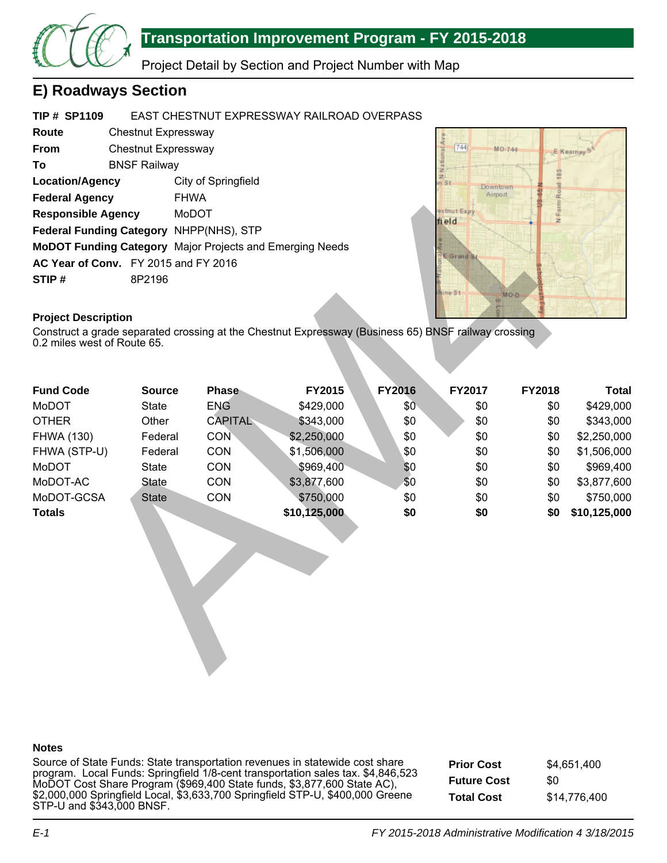

# **Transportation Improvement Program - FY 2015-2018**

Project Detail by Section and Project Number with Map

# **E) Roadways Section**

#### **TIP # SP1109** EAST CHESTNUT EXPRESSWAY RAILROAD OVERPASS

| Route                                |                     | Chestnut Expressway                                             |  |  |  |  |  |  |  |
|--------------------------------------|---------------------|-----------------------------------------------------------------|--|--|--|--|--|--|--|
| <b>From</b>                          | Chestnut Expressway |                                                                 |  |  |  |  |  |  |  |
| To                                   | <b>BNSF Railway</b> |                                                                 |  |  |  |  |  |  |  |
| <b>Location/Agency</b>               |                     | City of Springfield                                             |  |  |  |  |  |  |  |
| <b>Federal Agency</b>                |                     | <b>FHWA</b>                                                     |  |  |  |  |  |  |  |
| <b>Responsible Agency</b>            |                     | MoDOT                                                           |  |  |  |  |  |  |  |
|                                      |                     | Federal Funding Category NHPP(NHS), STP                         |  |  |  |  |  |  |  |
|                                      |                     | <b>MoDOT Funding Category</b> Major Projects and Emerging Needs |  |  |  |  |  |  |  |
| AC Year of Conv. FY 2015 and FY 2016 |                     |                                                                 |  |  |  |  |  |  |  |
| STIP#                                | 8P2196              |                                                                 |  |  |  |  |  |  |  |



# **Project Description**

| <b>Federal Agency</b>                                    | <b>FHWA</b>   |                |                                                                                                     |               | Airport                   | mR <sub>o</sub>  |              |
|----------------------------------------------------------|---------------|----------------|-----------------------------------------------------------------------------------------------------|---------------|---------------------------|------------------|--------------|
| <b>Responsible Agency</b>                                |               | MoDOT          |                                                                                                     |               | estnut Expy<br>field      | N <sub>Far</sub> |              |
| <b>Federal Funding Category</b>                          |               | NHPP(NHS), STP |                                                                                                     |               |                           |                  |              |
| MoDOT Funding Category Major Projects and Emerging Needs |               |                |                                                                                                     |               |                           |                  |              |
| AC Year of Conv. FY 2015 and FY 2016                     |               |                |                                                                                                     |               | E Grand S.                |                  |              |
| STIP#                                                    | 8P2196        |                |                                                                                                     |               |                           |                  |              |
|                                                          |               |                |                                                                                                     |               | line St<br>$\overline{a}$ | MO D             |              |
|                                                          |               |                |                                                                                                     |               |                           |                  |              |
| <b>Project Description</b>                               |               |                | Construct a grade separated crossing at the Chestnut Expressway (Business 65) BNSF railway crossing |               |                           |                  |              |
| 0.2 miles west of Route 65.                              |               |                |                                                                                                     |               |                           |                  |              |
|                                                          |               |                |                                                                                                     |               |                           |                  |              |
|                                                          |               |                |                                                                                                     |               |                           |                  |              |
| <b>Fund Code</b>                                         | <b>Source</b> | <b>Phase</b>   | FY2015                                                                                              | <b>FY2016</b> | FY2017                    | <b>FY2018</b>    | <b>Total</b> |
| <b>MoDOT</b>                                             | <b>State</b>  | <b>ENG</b>     | \$429,000                                                                                           | \$0           | \$0                       | \$0              | \$429,000    |
| <b>OTHER</b>                                             | Other         | <b>CAPITAL</b> | \$343,000                                                                                           | \$0           | \$0                       | \$0              | \$343,000    |
| <b>FHWA (130)</b>                                        | Federal       | <b>CON</b>     | \$2,250,000                                                                                         | \$0           | \$0                       | \$0              | \$2,250,000  |
| FHWA (STP-U)                                             | Federal       | CON            | \$1,506,000                                                                                         | \$0           | \$0                       | \$0              | \$1,506,000  |
| <b>MoDOT</b>                                             | <b>State</b>  | CON            | \$969,400                                                                                           | \$0           | \$0                       | \$0              | \$969,400    |
| MoDOT-AC                                                 | <b>State</b>  | CON            | \$3,877,600                                                                                         | \$0           | \$0                       | \$0              | \$3,877,600  |
| MoDOT-GCSA                                               | <b>State</b>  | CON            | \$750,000                                                                                           | \$0           | \$0                       | \$0              | \$750,000    |
| <b>Totals</b>                                            |               |                | \$10,125,000                                                                                        | \$0           | \$0                       | \$0              | \$10,125,000 |
|                                                          |               |                |                                                                                                     |               |                           |                  |              |
|                                                          |               |                |                                                                                                     |               |                           |                  |              |
|                                                          |               |                |                                                                                                     |               |                           |                  |              |
|                                                          |               |                |                                                                                                     |               |                           |                  |              |
|                                                          |               |                |                                                                                                     |               |                           |                  |              |
|                                                          |               |                |                                                                                                     |               |                           |                  |              |
|                                                          |               |                |                                                                                                     |               |                           |                  |              |
|                                                          |               |                |                                                                                                     |               |                           |                  |              |
|                                                          |               |                |                                                                                                     |               |                           |                  |              |
|                                                          |               |                |                                                                                                     |               |                           |                  |              |

# **Notes**

Source of State Funds: State transportation revenues in statewide cost share program. Local Funds: Springfield 1/8-cent transportation sales tax. \$4,846,523 MoDOT Cost Share Program (\$969,400 State funds, \$3,877,600 State AC), \$2,000,000 Springfield Local, \$3,633,700 Springfield STP-U, \$400,000 Greene STP-U and \$343,000 BNSF.

**Prior Cost Future Cost Total Cost** \$4,651,400 \$0 \$14,776,400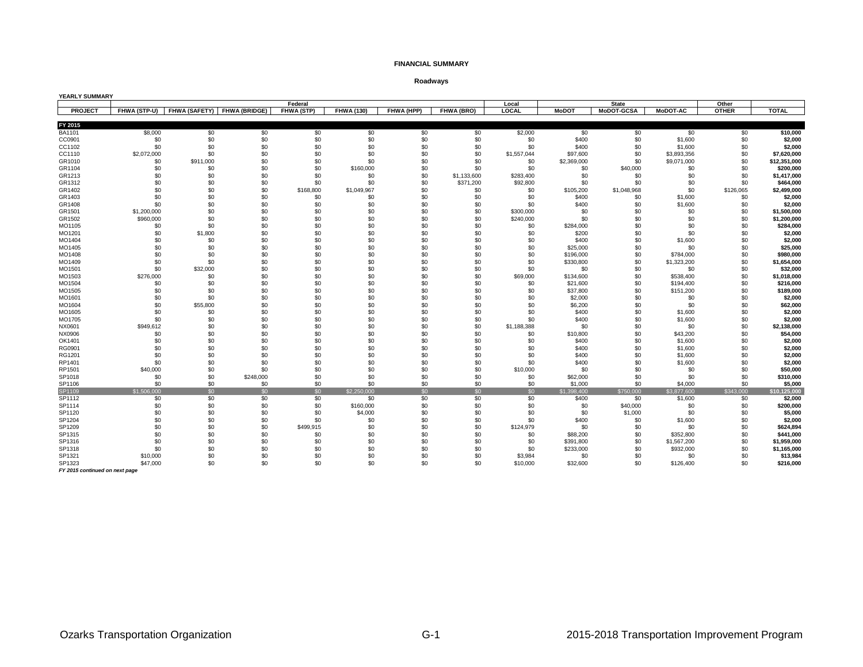### **FINANCIAL SUMMARY**

**Roadways**

| <b>YEARLY SUMMARY</b> |                    |            |                                          |            |                   |            |             |                    |                    |                   |                    |              |                           |
|-----------------------|--------------------|------------|------------------------------------------|------------|-------------------|------------|-------------|--------------------|--------------------|-------------------|--------------------|--------------|---------------------------|
|                       |                    |            |                                          | Federal    |                   |            |             | Local              |                    | <b>State</b>      |                    | Other        |                           |
| <b>PROJECT</b>        |                    |            | FHWA (STP-U) FHWA (SAFETY) FHWA (BRIDGE) | FHWA (STP) | <b>FHWA (130)</b> | FHWA (HPP) | FHWA (BRO)  | LOCAL              | <b>MoDOT</b>       | <b>MoDOT-GCSA</b> | <b>MoDOT-AC</b>    | <b>OTHER</b> | <b>TOTAL</b>              |
|                       |                    |            |                                          |            |                   |            |             |                    |                    |                   |                    |              |                           |
| FY 2015               |                    |            |                                          |            |                   |            |             |                    |                    |                   |                    |              |                           |
| <b>BA1101</b>         | \$8,000            | \$0        | \$0                                      | \$0        | \$0               | \$0        | \$0         | \$2,000            | \$0                | \$0               | \$0                | \$0          | \$10,000<br>\$2,000       |
| CC0901                | \$0                | \$0        | \$0                                      | \$0        | \$0               | \$0        | \$0         | \$0                | \$400              | \$0               | \$1,600            | \$0          |                           |
| CC1102                | \$0<br>\$2,072,000 | \$0<br>\$0 | \$0<br>\$0                               | \$0<br>\$0 | \$0<br>\$0        | \$0<br>\$0 | \$0<br>\$0  | \$0<br>\$1,557,044 | \$400              | \$0<br>\$0        | \$1,600            | \$0<br>\$0   | \$2,000<br>\$7,620,000    |
| CC1110                | \$0                | \$911,000  | \$0                                      | \$0        | \$0               | \$0        | \$0         |                    | \$97,600           | \$0               | \$3,893,356        | \$0          |                           |
| GR1010<br>GR1104      | \$0                | \$0        | \$0                                      | \$0        | \$160,000         | \$0        | \$0         | \$0<br>\$0         | \$2,369,000<br>\$0 | \$40,000          | \$9,071,000<br>\$0 | \$0          | \$12,351,000<br>\$200,000 |
| GR1213                | \$0                | \$0        | \$0                                      | \$0        | \$0               | \$0        | \$1,133,600 | \$283,400          | \$0                | \$0               | \$0                | \$0          | \$1,417,000               |
| GR1312                | \$0                | \$0        | \$0                                      | \$0        | \$0               | \$0        | \$371,200   | \$92,800           | \$0                | \$0               | \$0                | \$0          | \$464,000                 |
| GR1402                | \$0                | \$0        | \$0                                      | \$168,800  | \$1,049,967       | \$0        | \$0         | \$0                | \$105,200          | \$1,048,968       | \$0                | \$126,065    | \$2,499,000               |
| GR1403                | \$0                | \$0        | \$0                                      | \$0        | \$0               | \$0        | \$0         | \$0                | \$400              | \$0               | \$1,600            | \$0          | \$2,000                   |
| GR1408                | \$0                | \$0        | \$0                                      | \$0        | \$0               | \$0        | \$0         | \$0                | \$400              | \$0               | \$1,600            | \$0          | \$2,000                   |
| GR1501                | \$1,200,000        | \$0        | \$0                                      | \$0        | \$0               | \$0        | \$0         | \$300,000          | \$0                | \$0               | \$0                | \$0          | \$1,500,000               |
| GR1502                | \$960,000          | \$0        | \$0                                      | \$0        | \$0               | \$0        | \$0         | \$240,000          | \$0                | \$0               | \$0                | \$0          | \$1,200,000               |
| MO1105                | \$0                | \$0        | \$0                                      | \$0        | \$0               | \$0        | \$0         | \$0                | \$284,000          | \$0               | \$0                | \$0          | \$284,000                 |
| MO1201                | \$0                | \$1,800    | \$0                                      | \$0        | \$0               | \$0        | \$0         | \$0                | \$200              | \$0               | \$0                | \$0          | \$2,000                   |
| MO1404                | \$0                | \$0        | \$0                                      | \$0        | \$0               | \$0        | \$0         | \$0                | \$400              | \$0               | \$1,600            | \$0          | \$2,000                   |
| MO1405                | \$0                | \$0        | \$0                                      | \$0        | \$0               | \$0        | \$0         | \$0                | \$25,000           | \$0               | \$0                | \$0          | \$25,000                  |
| MO1408                | \$0                | \$0        | \$0                                      | \$0        | \$0               | \$0        | \$0         | \$0                | \$196,000          | \$0               | \$784,000          | \$0          | \$980,000                 |
| MO1409                | \$0                | \$0        | \$0                                      | \$0        | \$0               | \$0        | \$0         | \$0                | \$330,800          | \$0               | \$1,323,200        | \$0          | \$1,654,000               |
| MO1501                | \$0                | \$32,000   | \$0                                      | \$0        | \$0               | \$0        | \$0         | \$0                | \$0                | \$0               | \$0                | \$0          | \$32,000                  |
| MO1503                | \$276,000          | \$0        | \$0                                      | \$0        | \$0               | \$0        | \$0         | \$69,000           | \$134,600          | \$0               | \$538,400          | \$0          | \$1,018,000               |
| MO1504                | \$0                | \$0        | \$0                                      | \$0        | \$0               | \$0        | \$0         | \$0                | \$21,600           | \$0               | \$194,400          | \$0          | \$216,000                 |
| MO1505                | \$0                | \$0        | \$0                                      | \$0        | \$0               | \$0        | \$0         | \$0                | \$37,800           | \$0               | \$151,200          | \$0          | \$189,000                 |
| MO1601                | \$0                | \$0        | \$0                                      | \$0        | \$0               | \$0        | \$0         | \$0                | \$2,000            | \$0               | \$0                | \$0          | \$2,000                   |
| MO1604                | \$0                | \$55,800   | \$0                                      | \$0        | \$0               | \$0        | \$0         | \$0                | \$6,200            | \$0               | \$0                | \$0          | \$62,000                  |
| MO1605                | \$0                | \$0        | \$0                                      | \$0        | \$0               | \$0        | \$0         | \$0                | \$400              | \$0               | \$1,600            | \$0          | \$2,000                   |
| MO1705                | \$0                | \$0        | \$0                                      | \$0        | \$0               | \$0        | \$0         | \$0                | \$400              | \$0               | \$1,600            | \$0          | \$2,000                   |
| NX0601                | \$949,612          | \$0        | \$0                                      | \$0        | \$0               | \$0        | \$0         | \$1,188,388        | \$0                | \$0               | \$0                | \$0          | \$2,138,000               |
| NX0906                | \$0                | \$0        | \$0                                      | \$0        | \$0               | \$0        | \$0         | \$0                | \$10,800           | \$0               | \$43,200           | \$0          | \$54,000                  |
| OK1401                | \$0                | \$0        | \$0                                      | \$0        | \$0               | \$0        | \$0         | \$0                | \$400              | \$0               | \$1,600            | \$0          | \$2,000                   |
| RG0901                | \$0                | \$0        | \$0                                      | \$0        | \$0               | \$0        | \$0         | \$0                | \$400              | \$0               | \$1,600            | \$0          | \$2,000                   |
| RG1201                | \$0                | \$0        | \$0                                      | \$0        | \$0               | \$0        | \$0         | \$0                | \$400              | \$0               | \$1,600            | \$0          | \$2,000                   |
| RP1401                | \$0                | \$0        | \$0                                      | \$0        | \$0               | \$0        | \$0         | \$0                | \$400              | \$0               | \$1,600            | \$0          | \$2,000                   |
| RP1501                | \$40,000           | \$0        | \$0                                      | \$0        | \$0               | \$0        | \$0         | \$10,000           | \$0                | \$0               | \$0                | \$0          | \$50,000                  |
| SP1018                | \$0                | \$0        | \$248,000                                | \$0        | \$0               | \$0        | \$0         | \$0                | \$62,000           | \$0               | \$0                | \$0          | \$310,000                 |
| SP1106                | \$0                | \$0        | \$0                                      | \$0        | \$0               | \$0        | \$0         | \$0                | \$1,000            | \$0               | \$4,000            | \$0          | \$5.000                   |
| SP1109                | \$1,506,000        | \$0        | \$0                                      | \$0        | \$2,250,000       | \$0        | \$0         | \$0                | \$1.398,400        | \$750,000         | \$3,877,600        | \$343,000    | \$10,125,000              |
| SP1112                | \$0                | \$0        | \$0                                      | \$0        | \$0               | \$0        | \$0         | \$0                | \$400              | \$0               | \$1,600            | \$0          | \$2,000                   |
| SP1114                | \$0                | \$0        | \$0                                      | \$0        | \$160,000         | \$0        | \$0         | \$0                | \$0                | \$40,000          | \$0                | \$0          | \$200,000                 |
| SP1120                | \$0                | \$0        | \$0                                      | \$0        | \$4,000           | \$0        | \$0         | \$0                | \$0                | \$1,000           | \$0                | \$0          | \$5,000                   |
| SP1204                | \$0                | \$0        | \$0                                      | \$0        | \$0               | \$0        | \$0         | \$0                | \$400              | \$0               | \$1,600            | \$0          | \$2,000                   |
| SP1209                | \$0                | \$0        | \$0                                      | \$499,915  | \$0               | \$0        | \$0         | \$124,979          | \$0                | \$0               | \$0                | \$0          | \$624,894                 |
| SP1315                | \$0                | \$0        | \$0                                      | \$0        | \$0               | \$0        | \$0         | \$0                | \$88,200           | \$0               | \$352,800          | \$0          | \$441,000                 |
| SP1316                | \$0                | \$0        | \$0                                      | \$0        | \$0               | \$0        | \$0         | \$0                | \$391,800          | \$0               | \$1,567,200        | \$0          | \$1,959,000               |
| SP1318                | \$0                | \$0        | \$0                                      | \$0        | \$0               | \$0        | \$0         | \$0                | \$233,000          | \$0               | \$932,000          | \$0          | \$1,165,000               |
| SP1321                | \$10,000           | \$0        | \$0                                      | \$0        | \$0               | \$0        | \$0         | \$3,984            | \$0                | \$0               | \$0                | \$0          | \$13,984                  |
| SP1323                | \$47,000           | \$0        | \$0                                      | \$0        | \$0               | \$0        | \$0         | \$10,000           | \$32,600           | \$0               | \$126,400          | \$0          | \$216,000                 |

*FY 2015 continued on next page*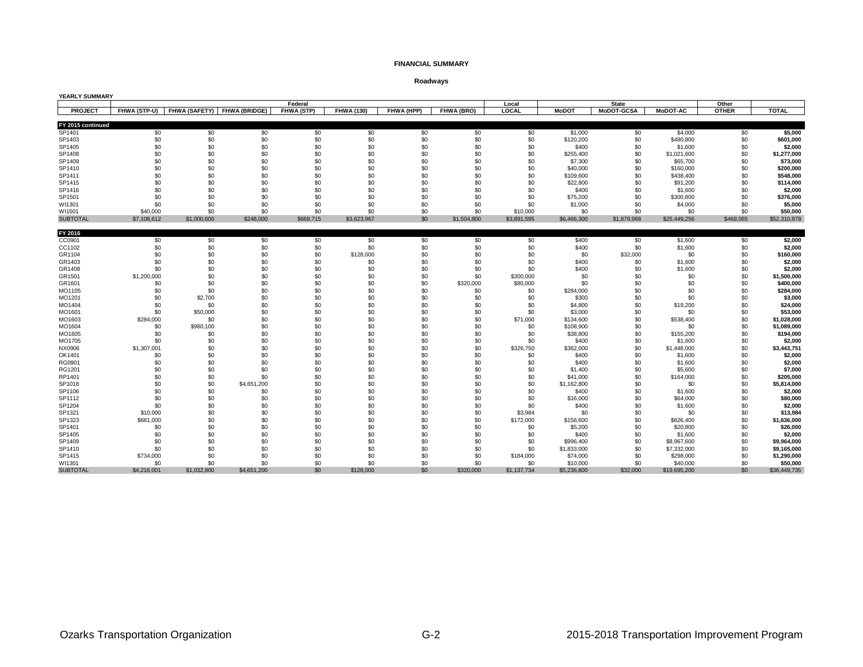### **FINANCIAL SUMMARY**

### **Roadways**

| <b>YEARLY SUMMARY</b>       |                            |             |                      |            |                   |            |             |             |                   |                   |                        |              |                      |
|-----------------------------|----------------------------|-------------|----------------------|------------|-------------------|------------|-------------|-------------|-------------------|-------------------|------------------------|--------------|----------------------|
|                             |                            |             |                      | Federal    |                   |            |             | Local       |                   | <b>State</b>      |                        | Other        |                      |
| <b>PROJECT</b>              | FHWA (STP-U) FHWA (SAFETY) |             | <b>FHWA (BRIDGE)</b> | FHWA (STP) | <b>FHWA (130)</b> | FHWA (HPP) | FHWA (BRO)  | LOCAL       | <b>MoDOT</b>      | <b>MoDOT-GCSA</b> | <b>MoDOT-AC</b>        | <b>OTHER</b> | <b>TOTAL</b>         |
|                             |                            |             |                      |            |                   |            |             |             |                   |                   |                        |              |                      |
| FY 2015 continued<br>SP1401 | \$0                        | \$0         | \$0                  | \$0        | \$0               | \$0        | \$0         | \$0         | \$1,000           | \$0               | \$4,000                | \$0          | \$5,000              |
| SP1403                      | \$0                        | \$0         | \$0                  | \$0        | \$0               | \$0        | \$0         | \$0         | \$120,200         | \$0               | \$480,800              | \$0          | \$601,000            |
| SP1405                      | \$0                        | \$0         | \$0                  | \$0        | \$0               | \$0        | \$0         | \$0         | \$400             | \$0               | \$1,600                | \$0          | \$2,000              |
| SP1408                      | \$0                        | \$0         | \$0                  | \$0        | \$0               | \$0        | \$0         | \$0         | \$255,400         | \$0               | \$1,021,600            | \$0          | \$1,277,000          |
| SP1409                      | \$0                        | \$0         | \$0                  | \$0        | \$0               | \$0        | \$0         | \$0         | \$7,300           | \$0               | \$65,700               | \$0          | \$73,000             |
| SP1410                      | \$0                        | \$0         | \$0                  | \$0        | \$0               | \$0        | \$0         | \$0         | \$40,000          | \$0               | \$160,000              | \$0          | \$200,000            |
| SP1411                      | \$0                        | \$0         | \$0                  | \$0        | \$0               | \$0        | \$0         | \$0         | \$109,600         | \$0               | \$438,400              | \$0          | \$548,000            |
| SP1415                      | \$0                        | \$0         | \$0                  | \$0        | \$0               | \$0        | \$0         | \$0         | \$22,800          | \$0               | \$91,200               | \$0          | \$114,000            |
| SP1416                      | \$0                        | \$0         | \$0                  | \$0        | \$0               | \$0        | \$0         | \$0         | \$400             | \$0               | \$1,600                | \$0          | \$2,000              |
| SP1501                      | \$0                        | \$0         | \$0                  | \$0        | \$0               | \$0        | \$0         | \$0         | \$75,200          | \$0               | \$300,800              | \$0          | \$376,000            |
| WI1301                      | \$0                        | \$0         | \$0                  | \$0        | \$0               | \$0        | \$0         | \$0         | \$1,000           | \$0               | \$4,000                | \$0          | \$5,000              |
| WI1501                      | \$40,000                   | \$0         | \$0                  | \$0        | \$0               | \$0        | \$0         | \$10,000    | \$0               | \$0               | \$0                    | \$0          | \$50,000             |
| <b>SUBTOTAL</b>             | \$7,108,612                | \$1,000,600 | \$248,000            | \$668,715  | \$3,623,967       | \$0        | \$1,504,800 | \$3,891,595 | \$6,466,300       | \$1,879,968       | \$25,449,256           | \$469,065    | \$52,310,878         |
|                             |                            |             |                      |            |                   |            |             |             |                   |                   |                        |              |                      |
| FY 2016                     |                            |             |                      |            |                   |            |             |             |                   |                   |                        |              |                      |
| CC0901                      | \$0                        | \$0         | \$0                  | \$0        | \$0               | \$0        | \$0         | \$0         | \$400             | \$0               | \$1,600                | \$0          | \$2,000              |
| CC1102                      | \$0                        | \$0         | \$0                  | \$0        | \$0               | \$0        | \$0         | \$0         | \$400             | \$0               | \$1,600                | \$0          | \$2,000              |
| GR1104                      | \$0                        | \$0         | \$0                  | \$0        | \$128,000         | \$0        | \$0         | \$0         | \$0               | \$32,000          | \$0                    | \$0          | \$160,000            |
| GR1403                      | \$0                        | \$0         | \$0                  | \$0        | \$0               | \$0        | \$0         | \$0         | \$400             | \$0               | \$1,600                | \$0          | \$2,000              |
| GR1408                      | \$0                        | \$0         | \$0                  | \$0        | \$0               | \$0        | \$0         | \$0         | \$400             | \$0               | \$1,600                | \$0          | \$2,000              |
| GR1501                      | \$1,200,000                | \$0         | \$0                  | \$0        | \$0               | \$0        | \$0         | \$300,000   | \$0               | \$0               | \$0                    | \$0          | \$1,500,000          |
| GR1601                      | \$0                        | \$0         | \$0                  | \$0        | \$0               | \$0        | \$320,000   | \$80,000    | \$0               | \$0               | \$0                    | \$0          | \$400,000            |
| MO1105                      | \$0                        | \$0         | \$0                  | \$0        | \$0               | \$0        | \$0         | \$0         | \$284,000         | \$0               | \$0                    | \$0          | \$284,000            |
| MO1201                      | \$0                        | \$2,700     | \$0                  | \$0        | \$0               | \$0        | \$0         | \$0         | \$300             | \$0               | \$0                    | \$0          | \$3,000              |
| MO1404                      | \$0                        | \$0         | \$0                  | \$0        | \$0               | \$0        | \$0         | \$0         | \$4,800           | \$0               | \$19,200               | \$0          | \$24,000             |
| MO1601                      | \$0                        | \$50,000    | \$0                  | \$0        | \$0               | \$0        | \$0         | \$0         | \$3,000           | \$0               | \$0                    | \$0          | \$53,000             |
| MO1603                      | \$284,000                  | \$0         | \$0                  | \$0        | \$0               | \$0        | \$0         | \$71,000    | \$134,600         | \$0               | \$538,400              | \$0          | \$1,028,000          |
| MO1604                      | \$0<br>\$0                 | \$980,100   | \$0                  | \$0        | \$0               | \$0<br>\$0 | \$0<br>\$0  | \$0         | \$108,900         | \$0               | \$0                    | \$0          | \$1,089,000          |
| MO1605                      | \$0                        | \$0<br>\$0  | \$0<br>\$0           | \$0<br>\$0 | \$0<br>\$0        | \$0        | \$0         | \$0<br>\$0  | \$38,800<br>\$400 | \$0<br>\$0        | \$155,200              | \$0<br>\$0   | \$194,000<br>\$2,000 |
| MO1705<br>NX0906            | \$1,307,001                | \$0         | \$0                  | \$0        | \$0               | \$0        | \$0         | \$326,750   | \$362,000         | \$0               | \$1,600<br>\$1,448,000 | \$0          | \$3,443,751          |
| OK1401                      | \$0                        | \$0         | \$0                  | \$0        | \$0               | \$0        | \$0         | \$0         | \$400             | \$0               | \$1,600                | \$0          | \$2,000              |
| RG0901                      | \$0                        | \$0         | \$0                  | \$0        | \$0               | \$0        | \$0         | \$0         | \$400             | \$0               | \$1,600                | \$0          | \$2,000              |
| RG1201                      | \$0                        | \$0         | \$0                  | \$0        | \$0               | \$0        | \$0         | \$0         | \$1,400           | \$0               | \$5,600                | \$0          | \$7,000              |
| RP1401                      | \$0                        | \$0         | \$0                  | \$0        | \$0               | \$0        | \$0         | \$0         | \$41,000          | \$0               | \$164,000              | \$0          | \$205,000            |
| SP1018                      | \$0                        | \$0         | \$4,651,200          | \$0        | \$0               | \$0        | \$0         | \$0         | \$1,162,800       | \$0               | \$0                    | \$0          | \$5,814,000          |
| SP1106                      | \$0                        | \$0         | \$0                  | \$0        | \$0               | \$0        | \$0         | \$0         | \$400             | \$0               | \$1,600                | \$0          | \$2,000              |
| SP1112                      | \$0                        | \$0         | \$0                  | \$0        | \$0               | \$0        | \$0         | \$0         | \$16,000          | \$0               | \$64.000               | \$0          | \$80.000             |
| SP1204                      | \$0                        | \$0         | \$0                  | \$0        | \$0               | \$0        | \$0         | \$0         | \$400             | \$0               | \$1,600                | \$0          | \$2,000              |
| SP1321                      | \$10,000                   | \$0         | \$0                  | \$0        | \$0               | \$0        | \$0         | \$3,984     | \$0               | \$0               | \$0                    | \$0          | \$13,984             |
| SP1323                      | \$681,000                  | \$0         | \$0                  | \$0        | \$0               | \$0        | \$0         | \$172,000   | \$156,600         | \$0               | \$626,400              | \$0          | \$1,636,000          |
| SP1401                      | \$0                        | \$0         | \$0                  | \$0        | \$0               | \$0        | \$0         | \$0         | \$5,200           | \$0               | \$20,800               | \$0          | \$26,000             |
| SP1405                      | \$0                        | \$0         | \$0                  | \$0        | \$0               | \$0        | \$0         | \$0         | \$400             | \$0               | \$1,600                | \$0          | \$2,000              |
| SP1409                      | \$0                        | \$0         | \$0                  | \$0        | \$0               | \$0        | \$0         | \$0         | \$996,400         | \$0               | \$8,967,600            | \$0          | \$9,964,000          |
| SP1410                      | \$0                        | \$0         | \$0                  | \$0        | \$0               | \$0        | \$0         | \$0         | \$1,833,000       | \$0               | \$7,332,000            | \$0          | \$9,165,000          |
| SP1415                      | \$734,000                  | \$0         | \$0                  | \$0        | \$0               | \$0        | \$0         | \$184,000   | \$74,000          | \$0               | \$298,000              | \$0          | \$1,290,000          |
| WI1301                      | \$0                        | \$0         | \$0                  | \$0        | \$0               | \$0        | \$0         | \$0         | \$10,000          | \$0               | \$40,000               | \$0          | \$50,000             |
| <b>SUBTOTAL</b>             | \$4,216,001                | \$1,032,800 | \$4,651,200          | \$0        | \$128,000         | \$0        | \$320,000   | \$1,137,734 | \$5,236,800       | \$32,000          | \$19,695,200           | \$0          | \$36,449,735         |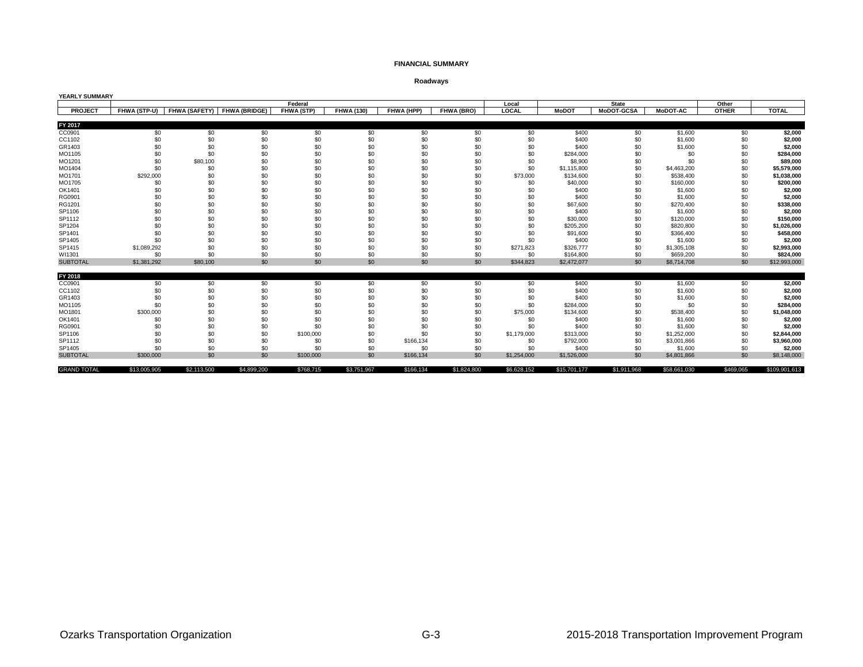### **FINANCIAL SUMMARY**

### **Roadways**

| <b>YEARLY SUMMARY</b> |              |             |                             |            |                   |            |             |             |              |                   |                 |              |               |
|-----------------------|--------------|-------------|-----------------------------|------------|-------------------|------------|-------------|-------------|--------------|-------------------|-----------------|--------------|---------------|
|                       |              |             |                             | Federal    |                   |            |             | Local       |              | <b>State</b>      |                 | Other        |               |
| <b>PROJECT</b>        | FHWA (STP-U) |             | FHWA (SAFETY) FHWA (BRIDGE) | FHWA (STP) | <b>FHWA (130)</b> | FHWA (HPP) | FHWA (BRO)  | LOCAL       | <b>MoDOT</b> | <b>MoDOT-GCSA</b> | <b>MoDOT-AC</b> | <b>OTHER</b> | <b>TOTAL</b>  |
|                       |              |             |                             |            |                   |            |             |             |              |                   |                 |              |               |
| FY 2017               |              |             |                             |            |                   |            |             |             |              |                   |                 |              |               |
| CC0901                | \$0          | \$0         | \$0                         | \$0        | \$0               | \$0        | \$0         | \$0         | \$400        | \$0               | \$1,600         | \$0          | \$2,000       |
| CC1102                | \$0          | \$0         | \$0                         | \$0        | \$0               | \$0        | \$0         | \$0         | \$400        | \$0               | \$1,600         | \$0          | \$2,000       |
| GR1403                | \$0          | \$0         | \$0                         | \$0        | \$0               | \$0        | \$0         | \$0         | \$400        | \$0               | \$1,600         | \$0          | \$2,000       |
| MO1105                | \$0          | \$0         | \$0                         | \$0        | \$0               | \$0        | \$0         | \$0         | \$284,000    | \$0               | \$0             | \$0          | \$284,000     |
| MO1201                | \$0          | \$80,100    | \$0                         | \$0        | \$0               | \$0        | \$0         | \$0         | \$8,900      | \$0               | \$0             | \$0          | \$89,000      |
| MO1404                | \$0          | \$0         | \$0                         | \$0        | \$0               | \$0        | \$0         | \$0         | \$1,115,800  | \$0               | \$4,463,200     | \$0          | \$5,579,000   |
| MO1701                | \$292,000    | \$0         | \$0                         | \$0        | \$0               | \$0        | \$0         | \$73,000    | \$134,600    | \$0               | \$538,400       | \$0          | \$1,038,000   |
| MO1705                | \$0          | \$0         | \$0                         | \$0        | \$0               | \$0        | \$0         | \$0         | \$40,000     | \$0               | \$160,000       | \$0          | \$200,000     |
| OK1401                | \$0          | \$0         | \$0                         | \$0        | \$0               | \$0        | \$0         | \$0         | \$400        | \$0               | \$1,600         | \$0          | \$2,000       |
| RG0901                | \$0          | \$0         | \$0                         | \$0        | \$0               | \$0        | \$0         | \$0         | \$400        | \$0               | \$1,600         | \$0          | \$2,000       |
| RG1201                | \$0          | \$0         | \$0                         | \$0        | \$0               | \$0        | \$0         | \$0         | \$67,600     | \$0               | \$270,400       | \$0          | \$338,000     |
| SP1106                | \$0          | \$0         | \$0                         | \$0        | \$0               | \$0        | \$0         | \$0         | \$400        | \$0               | \$1,600         | \$0          | \$2,000       |
| SP1112                | \$0          | \$0         | \$0                         | \$0        | \$0               | \$0        | \$0         | \$0         | \$30,000     | \$0               | \$120,000       | \$0          | \$150,000     |
| SP1204                | \$0          | \$0         | \$0                         | \$0        | \$0               | \$0        | \$0         | \$0         | \$205,200    | \$0               | \$820,800       | \$0          | \$1,026,000   |
| SP1401                | \$0          | \$0         | \$0                         | \$0        | \$0               | \$0        | \$0         | \$0         | \$91,600     | \$0               | \$366,400       | \$0          | \$458,000     |
| SP1405                | \$0          | \$0         | \$0                         | \$0        | \$0               | \$0        | \$0         | \$0         | \$400        | \$0               | \$1,600         | \$0          | \$2,000       |
| SP1415                | \$1,089,292  | \$0         | \$0                         | \$0        | \$0               | \$0        | \$0         | \$271,823   | \$326,777    | \$0               | \$1,305,108     | \$0          | \$2,993,000   |
| WI1301                | \$0          | \$0         | \$0                         | \$0        | \$0               | \$0        | \$0         | \$0         | \$164,800    | \$0               | \$659,200       | \$0          | \$824,000     |
| <b>SUBTOTAL</b>       | \$1,381,292  | \$80,100    | \$0                         | \$0        | \$0               | \$0        | \$0         | \$344,823   | \$2,472,077  | \$0               | \$8,714,708     | \$0          | \$12,993,000  |
|                       |              |             |                             |            |                   |            |             |             |              |                   |                 |              |               |
| FY 2018               |              |             |                             |            |                   |            |             |             |              |                   |                 |              |               |
| CC0901                | \$0          | \$0         | \$0                         | \$0        | \$0               | \$0        | \$0         | \$0         | \$400        | \$0               | \$1,600         | \$0          | \$2,000       |
| CC1102                | \$0          | \$0         | \$0                         | \$0        | \$0               | \$0        | \$0         | \$0         | \$400        | \$0               | \$1,600         | \$0          | \$2,000       |
| GR1403                | \$0          | \$0         | \$0                         | \$0        | \$0               | \$0        | \$0         | \$0         | \$400        | \$0               | \$1,600         | \$0          | \$2,000       |
| MO1105                | \$0          | \$C         | \$0                         | \$0        | \$0               | \$0        | \$0         | \$0         | \$284,000    | \$0               | \$0             | \$0          | \$284,000     |
| MO1801                | \$300,000    | \$C         | \$0                         | \$0        | \$0               | \$0        | \$0         | \$75,000    | \$134,600    | \$0               | \$538,400       | \$0          | \$1,048,000   |
| OK1401                | \$0          | \$0         | \$0                         | \$0        | \$0               | \$0        | \$0         | \$0         | \$400        | \$0               | \$1,600         | \$0          | \$2,000       |
| RG0901                | \$0          | \$0         | \$0                         | \$0        | \$0               | \$0        | \$0         | \$0         | \$400        | \$0               | \$1,600         | \$0          | \$2,000       |
| SP1106                | \$0          | \$0         | \$0                         | \$100,000  | \$0               | \$0        | \$0         | \$1,179,000 | \$313,000    | \$0               | \$1,252,000     | \$0          | \$2,844,000   |
| SP1112                | \$0          | \$0         | \$0                         | \$0        | \$0               | \$166,134  | \$0         | \$0         | \$792,000    | \$0               | \$3,001,866     | \$0          | \$3,960,000   |
| SP1405                | \$0          | \$0         | \$0                         | \$0        | \$0               | \$0        | \$0         | \$0         | \$400        | \$0               | \$1,600         | \$0          | \$2,000       |
| <b>SUBTOTAL</b>       | \$300,000    | \$0         | \$0                         | \$100,000  | \$0               | \$166,134  | \$0         | \$1,254,000 | \$1,526,000  | \$0               | \$4,801,866     | \$0          | \$8,148,000   |
| <b>GRAND TOTAL</b>    | \$13,005,905 | \$2,113,500 | \$4,899,200                 | \$768,715  | \$3,751,967       | \$166,134  | \$1,824,800 | \$6,628,152 | \$15,701,177 | \$1,911,968       | \$58,661,030    | \$469,065    | \$109,901,613 |